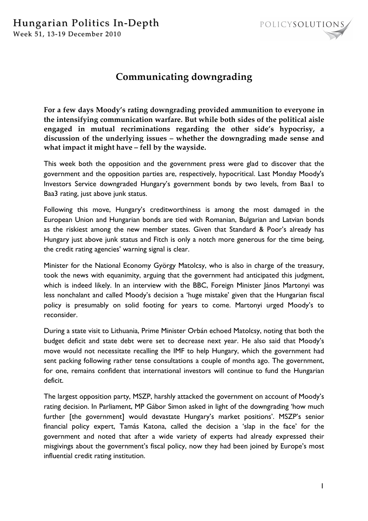

## **Communicating downgrading**

**For a few days Moody's rating downgrading provided ammunition to everyone in the intensifying communication warfare. But while both sides of the political aisle engaged in mutual recriminations regarding the other side's hypocrisy, a discussion of the underlying issues – whether the downgrading made sense and what impact it might have – fell by the wayside.**

This week both the opposition and the government press were glad to discover that the government and the opposition parties are, respectively, hypocritical. Last Monday Moody's Investors Service downgraded Hungary's government bonds by two levels, from Baa1 to Baa3 rating, just above junk status.

Following this move, Hungary's creditworthiness is among the most damaged in the European Union and Hungarian bonds are tied with Romanian, Bulgarian and Latvian bonds as the riskiest among the new member states. Given that Standard & Poor's already has Hungary just above junk status and Fitch is only a notch more generous for the time being, the credit rating agencies' warning signal is clear.

Minister for the National Economy György Matolcsy, who is also in charge of the treasury, took the news with equanimity, arguing that the government had anticipated this judgment, which is indeed likely. In an interview with the BBC, Foreign Minister János Martonyi was less nonchalant and called Moody's decision a 'huge mistake' given that the Hungarian fiscal policy is presumably on solid footing for years to come. Martonyi urged Moody's to reconsider.

During a state visit to Lithuania, Prime Minister Orbán echoed Matolcsy, noting that both the budget deficit and state debt were set to decrease next year. He also said that Moody's move would not necessitate recalling the IMF to help Hungary, which the government had sent packing following rather tense consultations a couple of months ago. The government, for one, remains confident that international investors will continue to fund the Hungarian deficit.

The largest opposition party, MSZP, harshly attacked the government on account of Moody's rating decision. In Parliament, MP Gábor Simon asked in light of the downgrading 'how much further [the government] would devastate Hungary's market positions'. MSZP's senior financial policy expert, Tamás Katona, called the decision a 'slap in the face' for the government and noted that after a wide variety of experts had already expressed their misgivings about the government's fiscal policy, now they had been joined by Europe's most influential credit rating institution.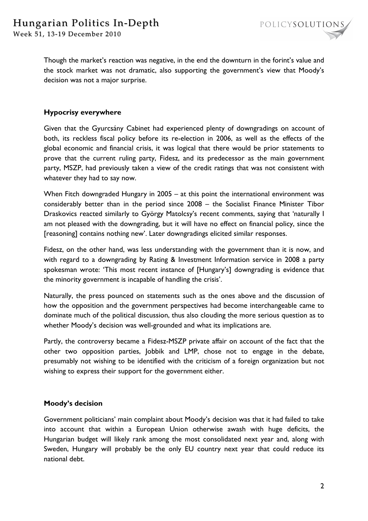

Though the market's reaction was negative, in the end the downturn in the forint's value and the stock market was not dramatic, also supporting the government's view that Moody's decision was not a major surprise.

## **Hypocrisy everywhere**

Given that the Gyurcsány Cabinet had experienced plenty of downgradings on account of both, its reckless fiscal policy before its re-election in 2006, as well as the effects of the global economic and financial crisis, it was logical that there would be prior statements to prove that the current ruling party, Fidesz, and its predecessor as the main government party, MSZP, had previously taken a view of the credit ratings that was not consistent with whatever they had to say now.

When Fitch downgraded Hungary in 2005 – at this point the international environment was considerably better than in the period since 2008 – the Socialist Finance Minister Tibor Draskovics reacted similarly to György Matolcsy's recent comments, saying that 'naturally I am not pleased with the downgrading, but it will have no effect on financial policy, since the [reasoning] contains nothing new'. Later downgradings elicited similar responses.

Fidesz, on the other hand, was less understanding with the government than it is now, and with regard to a downgrading by Rating & Investment Information service in 2008 a party spokesman wrote: 'This most recent instance of [Hungary's] downgrading is evidence that the minority government is incapable of handling the crisis'.

Naturally, the press pounced on statements such as the ones above and the discussion of how the opposition and the government perspectives had become interchangeable came to dominate much of the political discussion, thus also clouding the more serious question as to whether Moody's decision was well-grounded and what its implications are.

Partly, the controversy became a Fidesz-MSZP private affair on account of the fact that the other two opposition parties, Jobbik and LMP, chose not to engage in the debate, presumably not wishing to be identified with the criticism of a foreign organization but not wishing to express their support for the government either.

## **Moody's decision**

Government politicians' main complaint about Moody's decision was that it had failed to take into account that within a European Union otherwise awash with huge deficits, the Hungarian budget will likely rank among the most consolidated next year and, along with Sweden, Hungary will probably be the only EU country next year that could reduce its national debt.